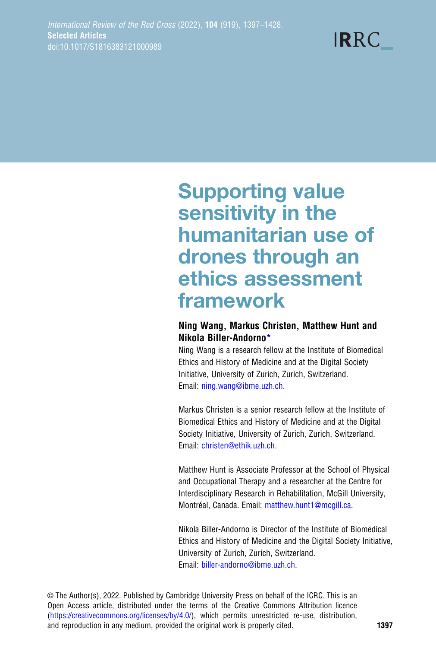$IRRC$ 

# Supporting value sensitivity in the humanitarian use of drones through an ethics assessment framework

## Ning Wang, Markus Christen, Matthew Hunt and Nikola Biller-Andorno\*

Ning Wang is a research fellow at the Institute of Biomedical Ethics and History of Medicine and at the Digital Society Initiative, University of Zurich, Zurich, Switzerland. Email: [ning.wang@ibme.uzh.ch](mailto:ning.wang@ibme.uzh.ch).

Markus Christen is a senior research fellow at the Institute of Biomedical Ethics and History of Medicine and at the Digital Society Initiative, University of Zurich, Zurich, Switzerland. Email: [christen@ethik.uzh.ch](mailto:christen@ethik.uzh.ch).

Matthew Hunt is Associate Professor at the School of Physical and Occupational Therapy and a researcher at the Centre for Interdisciplinary Research in Rehabilitation, McGill University, Montréal, Canada. Email: [matthew.hunt1@mcgill.ca.](mailto:matthew.hunt1@mcgill.ca)

Nikola Biller-Andorno is Director of the Institute of Biomedical Ethics and History of Medicine and the Digital Society Initiative, University of Zurich, Zurich, Switzerland. Email: [biller-andorno@ibme.uzh.ch](mailto:biller-�andorno@ibme.uzh.ch).

© The Author(s), 2022. Published by Cambridge University Press on behalf of the ICRC. This is an Open Access article, distributed under the terms of the Creative Commons Attribution licence ([https://creativecommons.org/licenses/by/4.0/\)](https://creativecommons.org/licenses/by/4.0/), which permits unrestricted re-use, distribution, and reproduction in any medium, provided the original work is properly cited. 1397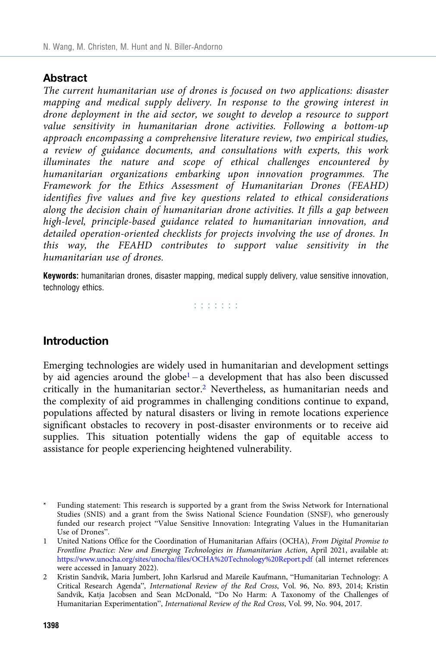## **Abstract**

The current humanitarian use of drones is focused on two applications: disaster mapping and medical supply delivery. In response to the growing interest in drone deployment in the aid sector, we sought to develop a resource to support value sensitivity in humanitarian drone activities. Following a bottom-up approach encompassing a comprehensive literature review, two empirical studies, a review of guidance documents, and consultations with experts, this work illuminates the nature and scope of ethical challenges encountered by humanitarian organizations embarking upon innovation programmes. The Framework for the Ethics Assessment of Humanitarian Drones (FEAHD) identifies five values and five key questions related to ethical considerations along the decision chain of humanitarian drone activities. It fills a gap between high-level, principle-based guidance related to humanitarian innovation, and detailed operation-oriented checklists for projects involving the use of drones. In this way, the FEAHD contributes to support value sensitivity in the humanitarian use of drones.

Keywords: humanitarian drones, disaster mapping, medical supply delivery, value sensitive innovation, technology ethics.

did did did

## Introduction

Emerging technologies are widely used in humanitarian and development settings by aid agencies around the globe<sup>1</sup> – a development that has also been discussed critically in the humanitarian sector.2 Nevertheless, as humanitarian needs and the complexity of aid programmes in challenging conditions continue to expand, populations affected by natural disasters or living in remote locations experience significant obstacles to recovery in post-disaster environments or to receive aid supplies. This situation potentially widens the gap of equitable access to assistance for people experiencing heightened vulnerability.

Funding statement: This research is supported by a grant from the Swiss Network for International Studies (SNIS) and a grant from the Swiss National Science Foundation (SNSF), who generously funded our research project "Value Sensitive Innovation: Integrating Values in the Humanitarian Use of Drones".

<sup>1</sup> United Nations Office for the Coordination of Humanitarian Affairs (OCHA), From Digital Promise to Frontline Practice: New and Emerging Technologies in Humanitarian Action, April 2021, available at: <https://www.unocha.org/sites/unocha/files/OCHA%20Technology%20Report.pdf> (all internet references were accessed in January 2022).

<sup>2</sup> Kristin Sandvik, Maria Jumbert, John Karlsrud and Mareile Kaufmann, "Humanitarian Technology: A Critical Research Agenda", International Review of the Red Cross, Vol. 96, No. 893, 2014; Kristin Sandvik, Katja Jacobsen and Sean McDonald, "Do No Harm: A Taxonomy of the Challenges of Humanitarian Experimentation", International Review of the Red Cross, Vol. 99, No. 904, 2017.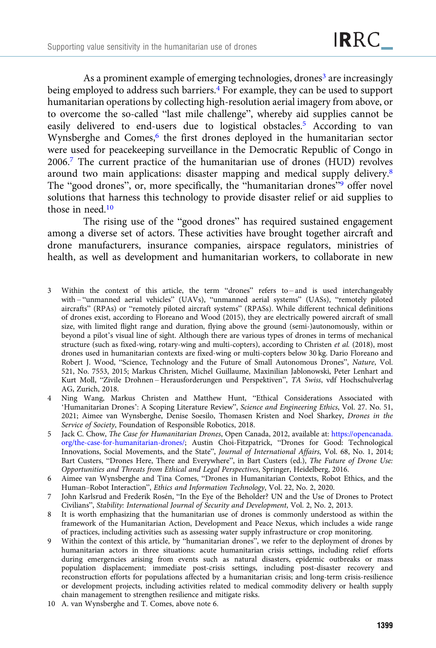As a prominent example of emerging technologies, drones<sup>3</sup> are increasingly being employed to address such barriers.<sup>4</sup> For example, they can be used to support humanitarian operations by collecting high-resolution aerial imagery from above, or to overcome the so-called "last mile challenge", whereby aid supplies cannot be easily delivered to end-users due to logistical obstacles.<sup>5</sup> According to van Wynsberghe and Comes,<sup>6</sup> the first drones deployed in the humanitarian sector were used for peacekeeping surveillance in the Democratic Republic of Congo in 2006.7 The current practice of the humanitarian use of drones (HUD) revolves around two main applications: disaster mapping and medical supply delivery.8 The "good drones", or, more specifically, the "humanitarian drones"<sup>9</sup> offer novel solutions that harness this technology to provide disaster relief or aid supplies to those in need.<sup>10</sup>

The rising use of the "good drones" has required sustained engagement among a diverse set of actors. These activities have brought together aircraft and drone manufacturers, insurance companies, airspace regulators, ministries of health, as well as development and humanitarian workers, to collaborate in new

- 3 Within the context of this article, the term "drones" refers to and is used interchangeably with – "unmanned aerial vehicles" (UAVs), "unmanned aerial systems" (UASs), "remotely piloted aircrafts" (RPAs) or "remotely piloted aircraft systems" (RPASs). While different technical definitions of drones exist, according to Floreano and Wood (2015), they are electrically powered aircraft of small size, with limited flight range and duration, flying above the ground (semi-)autonomously, within or beyond a pilot's visual line of sight. Although there are various types of drones in terms of mechanical structure (such as fixed-wing, rotary-wing and multi-copters), according to Christen et al. (2018), most drones used in humanitarian contexts are fixed-wing or multi-copters below 30 kg. Dario Floreano and Robert J. Wood, "Science, Technology and the Future of Small Autonomous Drones", Nature, Vol. 521, No. 7553, 2015; Markus Christen, Michel Guillaume, Maxinilian Jablonowski, Peter Lenhart and Kurt Moll, "Zivile Drohnen – Herausforderungen und Perspektiven", TA Swiss, vdf Hochschulverlag AG, Zurich, 2018.
- 4 Ning Wang, Markus Christen and Matthew Hunt, "Ethical Considerations Associated with 'Humanitarian Drones': A Scoping Literature Review", Science and Engineering Ethics, Vol. 27. No. 51, 2021; Aimee van Wynsberghe, Denise Soesilo, Thomasen Kristen and Noel Sharkey, Drones in the Service of Society, Foundation of Responsible Robotics, 2018.
- 5 Jack C. Chow, The Case for Humanitarian Drones, Open Canada, 2012, available at: [https://opencanada.](https://opencanada.org/the-case-for-humanitarian-drones/) [org/the-case-for-humanitarian-drones/](https://opencanada.org/the-case-for-humanitarian-drones/); Austin Choi-Fitzpatrick, "Drones for Good: Technological Innovations, Social Movements, and the State", Journal of International Affairs, Vol. 68, No. 1, 2014; Bart Custers, "Drones Here, There and Everywhere", in Bart Custers (ed.), The Future of Drone Use: Opportunities and Threats from Ethical and Legal Perspectives, Springer, Heidelberg, 2016.
- 6 Aimee van Wynsberghe and Tina Comes, "Drones in Humanitarian Contexts, Robot Ethics, and the Human–Robot Interaction", Ethics and Information Technology, Vol. 22, No. 2, 2020.
- 7 John Karlsrud and Frederik Rosén, "In the Eye of the Beholder? UN and the Use of Drones to Protect Civilians", Stability: International Journal of Security and Development, Vol. 2, No. 2, 2013.
- It is worth emphasizing that the humanitarian use of drones is commonly understood as within the framework of the Humanitarian Action, Development and Peace Nexus, which includes a wide range of practices, including activities such as assessing water supply infrastructure or crop monitoring.
- 9 Within the context of this article, by "humanitarian drones", we refer to the deployment of drones by humanitarian actors in three situations: acute humanitarian crisis settings, including relief efforts during emergencies arising from events such as natural disasters, epidemic outbreaks or mass population displacement; immediate post-crisis settings, including post-disaster recovery and reconstruction efforts for populations affected by a humanitarian crisis; and long-term crisis-resilience or development projects, including activities related to medical commodity delivery or health supply chain management to strengthen resilience and mitigate risks.
- 10 A. van Wynsberghe and T. Comes, above note 6.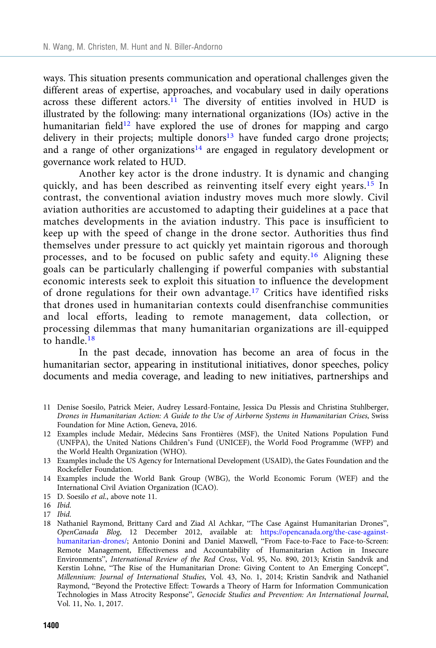ways. This situation presents communication and operational challenges given the different areas of expertise, approaches, and vocabulary used in daily operations across these different actors.<sup>11</sup> The diversity of entities involved in HUD is illustrated by the following: many international organizations (IOs) active in the humanitarian field<sup>12</sup> have explored the use of drones for mapping and cargo delivery in their projects; multiple donors $13$  have funded cargo drone projects; and a range of other organizations<sup>14</sup> are engaged in regulatory development or governance work related to HUD.

Another key actor is the drone industry. It is dynamic and changing quickly, and has been described as reinventing itself every eight years.<sup>15</sup> In contrast, the conventional aviation industry moves much more slowly. Civil aviation authorities are accustomed to adapting their guidelines at a pace that matches developments in the aviation industry. This pace is insufficient to keep up with the speed of change in the drone sector. Authorities thus find themselves under pressure to act quickly yet maintain rigorous and thorough processes, and to be focused on public safety and equity.<sup>16</sup> Aligning these goals can be particularly challenging if powerful companies with substantial economic interests seek to exploit this situation to influence the development of drone regulations for their own advantage.<sup>17</sup> Critics have identified risks that drones used in humanitarian contexts could disenfranchise communities and local efforts, leading to remote management, data collection, or processing dilemmas that many humanitarian organizations are ill-equipped to handle.<sup>18</sup>

In the past decade, innovation has become an area of focus in the humanitarian sector, appearing in institutional initiatives, donor speeches, policy documents and media coverage, and leading to new initiatives, partnerships and

- 11 Denise Soesilo, Patrick Meier, Audrey Lessard-Fontaine, Jessica Du Plessis and Christina Stuhlberger, Drones in Humanitarian Action: A Guide to the Use of Airborne Systems in Humanitarian Crises, Swiss Foundation for Mine Action, Geneva, 2016.
- 12 Examples include Medair, Médecins Sans Frontières (MSF), the United Nations Population Fund (UNFPA), the United Nations Children's Fund (UNICEF), the World Food Programme (WFP) and the World Health Organization (WHO).
- 13 Examples include the US Agency for International Development (USAID), the Gates Foundation and the Rockefeller Foundation.
- 14 Examples include the World Bank Group (WBG), the World Economic Forum (WEF) and the International Civil Aviation Organization (ICAO).
- 15 D. Soesilo et al., above note 11.

- 17 Ibid.
- 18 Nathaniel Raymond, Brittany Card and Ziad Al Achkar, "The Case Against Humanitarian Drones", OpenCanada Blog, 12 December 2012, available at: [https://opencanada.org/the-case-against](https://opencanada.org/the-case-against-humanitarian-drones/)[humanitarian-drones/;](https://opencanada.org/the-case-against-humanitarian-drones/) Antonio Donini and Daniel Maxwell, "From Face-to-Face to Face-to-Screen: Remote Management, Effectiveness and Accountability of Humanitarian Action in Insecure Environments", International Review of the Red Cross, Vol. 95, No. 890, 2013; Kristin Sandvik and Kerstin Lohne, "The Rise of the Humanitarian Drone: Giving Content to An Emerging Concept", Millennium: Journal of International Studies, Vol. 43, No. 1, 2014; Kristin Sandvik and Nathaniel Raymond, "Beyond the Protective Effect: Towards a Theory of Harm for Information Communication Technologies in Mass Atrocity Response", Genocide Studies and Prevention: An International Journal, Vol. 11, No. 1, 2017.

<sup>16</sup> Ibid.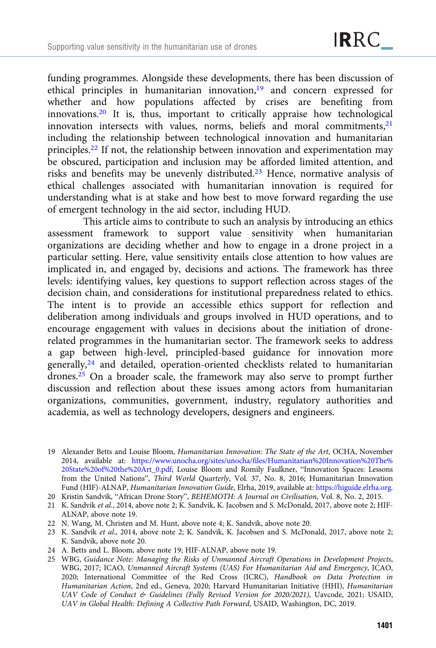funding programmes. Alongside these developments, there has been discussion of ethical principles in humanitarian innovation,<sup>19</sup> and concern expressed for whether and how populations affected by crises are benefiting from innovations.<sup>20</sup> It is, thus, important to critically appraise how technological innovation intersects with values, norms, beliefs and moral commitments,<sup>21</sup> including the relationship between technological innovation and humanitarian principles.22 If not, the relationship between innovation and experimentation may be obscured, participation and inclusion may be afforded limited attention, and risks and benefits may be unevenly distributed.<sup>23</sup> Hence, normative analysis of ethical challenges associated with humanitarian innovation is required for understanding what is at stake and how best to move forward regarding the use of emergent technology in the aid sector, including HUD.

This article aims to contribute to such an analysis by introducing an ethics assessment framework to support value sensitivity when humanitarian organizations are deciding whether and how to engage in a drone project in a particular setting. Here, value sensitivity entails close attention to how values are implicated in, and engaged by, decisions and actions. The framework has three levels: identifying values, key questions to support reflection across stages of the decision chain, and considerations for institutional preparedness related to ethics. The intent is to provide an accessible ethics support for reflection and deliberation among individuals and groups involved in HUD operations, and to encourage engagement with values in decisions about the initiation of dronerelated programmes in the humanitarian sector. The framework seeks to address a gap between high-level, principled-based guidance for innovation more generally,24 and detailed, operation-oriented checklists related to humanitarian drones.25 On a broader scale, the framework may also serve to prompt further discussion and reflection about these issues among actors from humanitarian organizations, communities, government, industry, regulatory authorities and academia, as well as technology developers, designers and engineers.

20 Kristin Sandvik, "African Drone Story", BEHEMOTH: A Journal on Civilisation, Vol. 8, No. 2, 2015.

- 21 K. Sandvik et al., 2014, above note 2; K. Sandvik, K. Jacobsen and S. McDonald, 2017, above note 2; HIF-ALNAP, above note 19.
- 22 N. Wang, M. Christen and M. Hunt, above note 4; K. Sandvik, above note 20.
- 23 K. Sandvik et al., 2014, above note 2; K. Sandvik, K. Jacobsen and S. McDonald, 2017, above note 2; K. Sandvik, above note 20.
- 24 A. Betts and L. Bloom, above note 19; HIF-ALNAP, above note 19.
- 25 WBG, Guidance Note: Managing the Risks of Unmanned Aircraft Operations in Development Projects, WBG, 2017; ICAO, Unmanned Aircraft Systems (UAS) For Humanitarian Aid and Emergency, ICAO, 2020; International Committee of the Red Cross (ICRC), Handbook on Data Protection in Humanitarian Action, 2nd ed., Geneva, 2020; Harvard Humanitarian Initiative (HHI), Humanitarian UAV Code of Conduct & Guidelines (Fully Revised Version for 2020/2021), Uavcode, 2021; USAID, UAV in Global Health: Defining A Collective Path Forward, USAID, Washington, DC, 2019.

<sup>19</sup> Alexander Betts and Louise Bloom, Humanitarian Innovation: The State of the Art, OCHA, November 2014, available at: [https://www.unocha.org/sites/unocha/files/Humanitarian%20Innovation%20The%](https://www.unocha.org/sites/unocha/files/Humanitarian%20Innovation%20The%20State%20of%20the%20Art_0.pdf) [20State%20of%20the%20Art\\_0.pdf](https://www.unocha.org/sites/unocha/files/Humanitarian%20Innovation%20The%20State%20of%20the%20Art_0.pdf); Louise Bloom and Romily Faulkner, "Innovation Spaces: Lessons from the United Nations", Third World Quarterly, Vol. 37, No. 8, 2016; Humanitarian Innovation Fund (HIF)-ALNAP, Humanitarian Innovation Guide, Elrha, 2019, available at: <https://higuide.elrha.org>.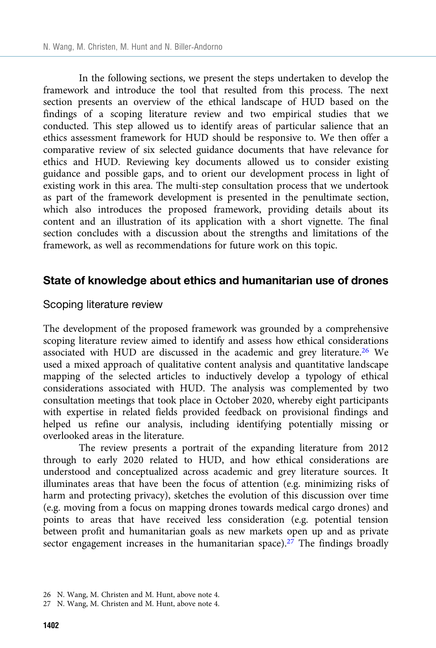In the following sections, we present the steps undertaken to develop the framework and introduce the tool that resulted from this process. The next section presents an overview of the ethical landscape of HUD based on the findings of a scoping literature review and two empirical studies that we conducted. This step allowed us to identify areas of particular salience that an ethics assessment framework for HUD should be responsive to. We then offer a comparative review of six selected guidance documents that have relevance for ethics and HUD. Reviewing key documents allowed us to consider existing guidance and possible gaps, and to orient our development process in light of existing work in this area. The multi-step consultation process that we undertook as part of the framework development is presented in the penultimate section, which also introduces the proposed framework, providing details about its content and an illustration of its application with a short vignette. The final section concludes with a discussion about the strengths and limitations of the framework, as well as recommendations for future work on this topic.

## State of knowledge about ethics and humanitarian use of drones

#### Scoping literature review

The development of the proposed framework was grounded by a comprehensive scoping literature review aimed to identify and assess how ethical considerations associated with HUD are discussed in the academic and grey literature.26 We used a mixed approach of qualitative content analysis and quantitative landscape mapping of the selected articles to inductively develop a typology of ethical considerations associated with HUD. The analysis was complemented by two consultation meetings that took place in October 2020, whereby eight participants with expertise in related fields provided feedback on provisional findings and helped us refine our analysis, including identifying potentially missing or overlooked areas in the literature.

The review presents a portrait of the expanding literature from 2012 through to early 2020 related to HUD, and how ethical considerations are understood and conceptualized across academic and grey literature sources. It illuminates areas that have been the focus of attention (e.g. minimizing risks of harm and protecting privacy), sketches the evolution of this discussion over time (e.g. moving from a focus on mapping drones towards medical cargo drones) and points to areas that have received less consideration (e.g. potential tension between profit and humanitarian goals as new markets open up and as private sector engagement increases in the humanitarian space).<sup>27</sup> The findings broadly

<sup>26</sup> N. Wang, M. Christen and M. Hunt, above note 4.

<sup>27</sup> N. Wang, M. Christen and M. Hunt, above note 4.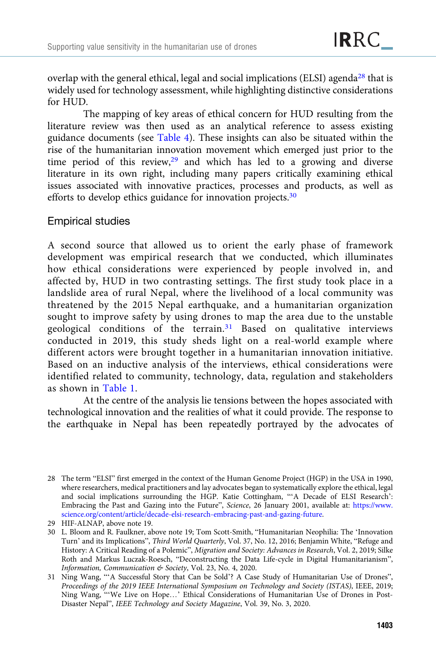overlap with the general ethical, legal and social implications (ELSI) agenda<sup>28</sup> that is widely used for technology assessment, while highlighting distinctive considerations for HUD.

The mapping of key areas of ethical concern for HUD resulting from the literature review was then used as an analytical reference to assess existing guidance documents (see [Table 4](#page-21-0)). These insights can also be situated within the rise of the humanitarian innovation movement which emerged just prior to the time period of this review, $29$  and which has led to a growing and diverse literature in its own right, including many papers critically examining ethical issues associated with innovative practices, processes and products, as well as efforts to develop ethics guidance for innovation projects.<sup>30</sup>

## Empirical studies

A second source that allowed us to orient the early phase of framework development was empirical research that we conducted, which illuminates how ethical considerations were experienced by people involved in, and affected by, HUD in two contrasting settings. The first study took place in a landslide area of rural Nepal, where the livelihood of a local community was threatened by the 2015 Nepal earthquake, and a humanitarian organization sought to improve safety by using drones to map the area due to the unstable geological conditions of the terrain.<sup>31</sup> Based on qualitative interviews conducted in 2019, this study sheds light on a real-world example where different actors were brought together in a humanitarian innovation initiative. Based on an inductive analysis of the interviews, ethical considerations were identified related to community, technology, data, regulation and stakeholders as shown in [Table 1](#page-7-0).

At the centre of the analysis lie tensions between the hopes associated with technological innovation and the realities of what it could provide. The response to the earthquake in Nepal has been repeatedly portrayed by the advocates of

<sup>28</sup> The term "ELSI" first emerged in the context of the Human Genome Project (HGP) in the USA in 1990, where researchers, medical practitioners and lay advocates began to systematically explore the ethical, legal and social implications surrounding the HGP. Katie Cottingham, "'A Decade of ELSI Research': Embracing the Past and Gazing into the Future", Science, 26 January 2001, available at: [https://www.](https://www.science.org/content/article/decade-elsi-research-embracing-past-and-gazing-future) [science.org/content/article/decade-elsi-research-embracing-past-and-gazing-future.](https://www.science.org/content/article/decade-elsi-research-embracing-past-and-gazing-future)

<sup>29</sup> HIF-ALNAP, above note 19.

<sup>30</sup> L. Bloom and R. Faulkner, above note 19; Tom Scott-Smith, "Humanitarian Neophilia: The 'Innovation Turn' and its Implications", Third World Quarterly, Vol. 37, No. 12, 2016; Benjamin White, "Refuge and History: A Critical Reading of a Polemic", Migration and Society: Advances in Research, Vol. 2, 2019; Silke Roth and Markus Luczak-Roesch, "Deconstructing the Data Life-cycle in Digital Humanitarianism", Information, Communication & Society, Vol. 23, No. 4, 2020.

<sup>31</sup> Ning Wang, "'A Successful Story that Can be Sold'? A Case Study of Humanitarian Use of Drones", Proceedings of the 2019 IEEE International Symposium on Technology and Society (ISTAS), IEEE, 2019; Ning Wang, "'We Live on Hope…' Ethical Considerations of Humanitarian Use of Drones in Post-Disaster Nepal", IEEE Technology and Society Magazine, Vol. 39, No. 3, 2020.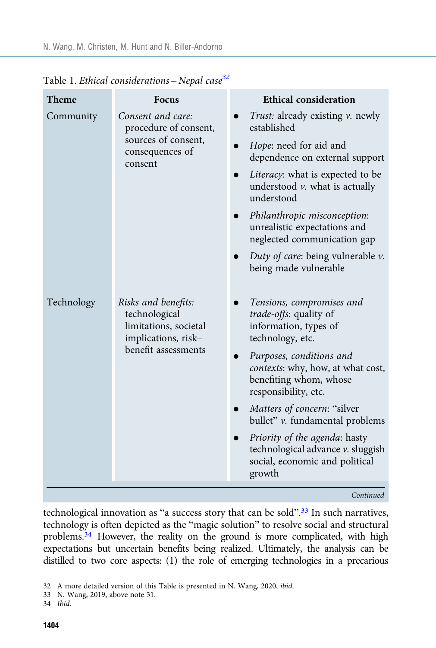| <b>Theme</b>                | <b>Focus</b>                                                                               | <b>Ethical consideration</b>                                                                                                              |
|-----------------------------|--------------------------------------------------------------------------------------------|-------------------------------------------------------------------------------------------------------------------------------------------|
| Community                   | Consent and care:<br>procedure of consent,                                                 | <i>Trust:</i> already existing <i>v</i> . newly<br>established                                                                            |
|                             | sources of consent,<br>consequences of<br>consent                                          | Hope: need for aid and<br>$\bullet$<br>dependence on external support                                                                     |
|                             |                                                                                            | Literacy: what is expected to be<br>$\bullet$<br>understood $\nu$ . what is actually<br>understood                                        |
|                             |                                                                                            | Philanthropic misconception:<br>$\bullet$<br>unrealistic expectations and<br>neglected communication gap                                  |
|                             |                                                                                            | Duty of care: being vulnerable $\nu$ .<br>being made vulnerable                                                                           |
| Technology<br>technological | Risks and benefits:<br>limitations, societal<br>implications, risk-<br>benefit assessments | Tensions, compromises and<br>$\bullet$<br>trade-offs: quality of<br>information, types of<br>technology, etc.<br>Purposes, conditions and |
|                             |                                                                                            | contexts: why, how, at what cost,<br>benefiting whom, whose<br>responsibility, etc.                                                       |
|                             |                                                                                            | Matters of concern: "silver<br>bullet" v. fundamental problems                                                                            |
|                             |                                                                                            | Priority of the agenda: hasty<br>technological advance v. sluggish<br>social, economic and political<br>growth                            |
|                             |                                                                                            | Continued                                                                                                                                 |

<span id="page-7-0"></span>Table 1. Ethical considerations - Nepal case<sup>32</sup>

technological innovation as "a success story that can be sold".<sup>33</sup> In such narratives, technology is often depicted as the "magic solution" to resolve social and structural problems.<sup>34</sup> However, the reality on the ground is more complicated, with high expectations but uncertain benefits being realized. Ultimately, the analysis can be distilled to two core aspects: (1) the role of emerging technologies in a precarious

- 33 N. Wang, 2019, above note 31.
- 34 Ibid.

<sup>32</sup> A more detailed version of this Table is presented in N. Wang, 2020, ibid.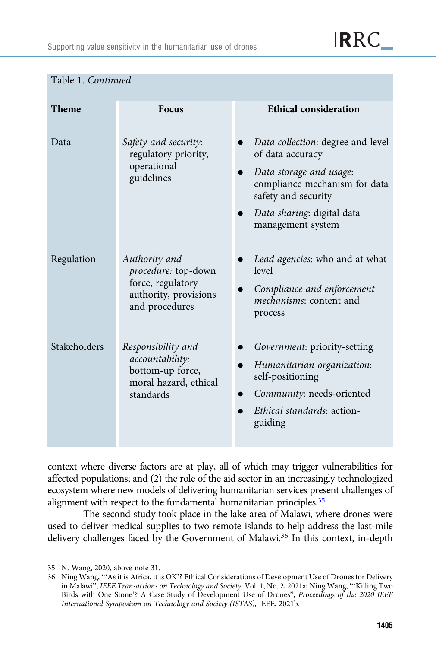IRRC\_

| <b>Theme</b> | <b>Focus</b>                                                                                         | <b>Ethical consideration</b>                                                                                                                                                                                          |
|--------------|------------------------------------------------------------------------------------------------------|-----------------------------------------------------------------------------------------------------------------------------------------------------------------------------------------------------------------------|
| Data         | Safety and security:<br>regulatory priority,<br>operational<br>guidelines                            | Data collection: degree and level<br>of data accuracy<br>Data storage and usage:<br>$\bullet$<br>compliance mechanism for data<br>safety and security<br>Data sharing: digital data<br>$\bullet$<br>management system |
| Regulation   | Authority and<br>procedure: top-down<br>force, regulatory<br>authority, provisions<br>and procedures | Lead agencies: who and at what<br>level<br>Compliance and enforcement<br>$\bullet$<br>mechanisms: content and<br>process                                                                                              |
| Stakeholders | Responsibility and<br>accountability:<br>bottom-up force,<br>moral hazard, ethical<br>standards      | Government: priority-setting<br>Humanitarian organization:<br>self-positioning<br>Community: needs-oriented<br>Ethical standards: action-<br>guiding                                                                  |

#### Table 1. Continued

context where diverse factors are at play, all of which may trigger vulnerabilities for affected populations; and (2) the role of the aid sector in an increasingly technologized ecosystem where new models of delivering humanitarian services present challenges of alignment with respect to the fundamental humanitarian principles.<sup>35</sup>

The second study took place in the lake area of Malawi, where drones were used to deliver medical supplies to two remote islands to help address the last-mile delivery challenges faced by the Government of Malawi.<sup>36</sup> In this context, in-depth

<sup>35</sup> N. Wang, 2020, above note 31.

<sup>36</sup> Ning Wang, "'As it is Africa, it is OK'? Ethical Considerations of Development Use of Drones for Delivery in Malawi", IEEE Transactions on Technology and Society, Vol. 1, No. 2, 2021a; Ning Wang, "'Killing Two Birds with One Stone'? A Case Study of Development Use of Drones", Proceedings of the 2020 IEEE International Symposium on Technology and Society (ISTAS), IEEE, 2021b.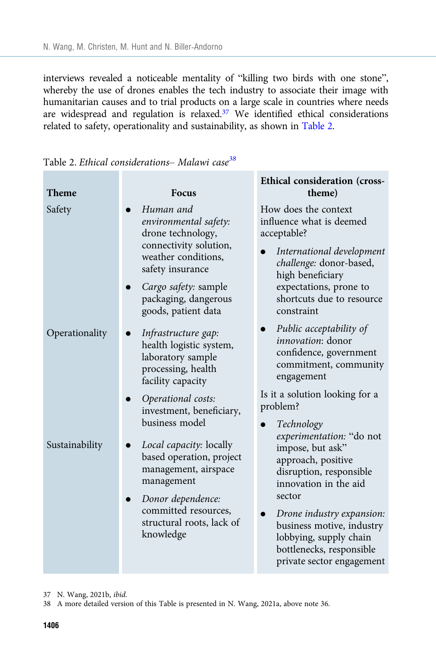interviews revealed a noticeable mentality of "killing two birds with one stone", whereby the use of drones enables the tech industry to associate their image with humanitarian causes and to trial products on a large scale in countries where needs are widespread and regulation is relaxed.<sup>37</sup> We identified ethical considerations related to safety, operationality and sustainability, as shown in Table 2.

| <b>Theme</b>   | <b>Focus</b>                                                                                                                                                                                        | Ethical consideration (cross-<br>theme)                                                                                                                                                                                                                                       |
|----------------|-----------------------------------------------------------------------------------------------------------------------------------------------------------------------------------------------------|-------------------------------------------------------------------------------------------------------------------------------------------------------------------------------------------------------------------------------------------------------------------------------|
| Safety         | Human and<br>environmental safety:<br>drone technology,<br>connectivity solution,<br>weather conditions,<br>safety insurance<br>Cargo safety: sample<br>packaging, dangerous<br>goods, patient data | How does the context<br>influence what is deemed<br>acceptable?<br>International development<br>challenge: donor-based,<br>high beneficiary<br>expectations, prone to<br>shortcuts due to resource<br>constraint                                                              |
| Operationality | Infrastructure gap:<br>health logistic system,<br>laboratory sample<br>processing, health<br>facility capacity<br>Operational costs:<br>investment, beneficiary,<br>business model                  | Public acceptability of<br>$\bullet$<br><i>innovation</i> : donor<br>confidence, government<br>commitment, community<br>engagement<br>Is it a solution looking for a<br>problem?<br>Technology                                                                                |
| Sustainability | Local capacity: locally<br>based operation, project<br>management, airspace<br>management<br>Donor dependence:<br>committed resources,<br>structural roots, lack of<br>knowledge                    | experimentation: "do not<br>impose, but ask"<br>approach, positive<br>disruption, responsible<br>innovation in the aid<br>sector<br>Drone industry expansion:<br>business motive, industry<br>lobbying, supply chain<br>bottlenecks, responsible<br>private sector engagement |

Table 2. Ethical considerations- Malawi case<sup>38</sup>

37 N. Wang, 2021b, ibid.

38 A more detailed version of this Table is presented in N. Wang, 2021a, above note 36.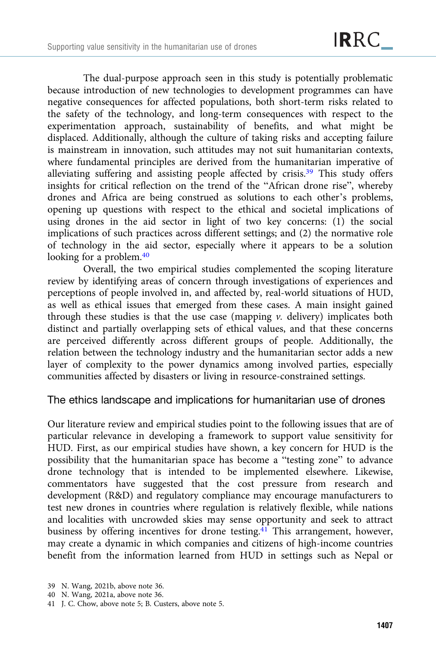The dual-purpose approach seen in this study is potentially problematic because introduction of new technologies to development programmes can have negative consequences for affected populations, both short-term risks related to the safety of the technology, and long-term consequences with respect to the experimentation approach, sustainability of benefits, and what might be displaced. Additionally, although the culture of taking risks and accepting failure is mainstream in innovation, such attitudes may not suit humanitarian contexts, where fundamental principles are derived from the humanitarian imperative of alleviating suffering and assisting people affected by crisis.39 This study offers insights for critical reflection on the trend of the "African drone rise", whereby drones and Africa are being construed as solutions to each other's problems, opening up questions with respect to the ethical and societal implications of using drones in the aid sector in light of two key concerns: (1) the social implications of such practices across different settings; and (2) the normative role of technology in the aid sector, especially where it appears to be a solution looking for a problem.<sup>40</sup>

Overall, the two empirical studies complemented the scoping literature review by identifying areas of concern through investigations of experiences and perceptions of people involved in, and affected by, real-world situations of HUD, as well as ethical issues that emerged from these cases. A main insight gained through these studies is that the use case (mapping  $\nu$ . delivery) implicates both distinct and partially overlapping sets of ethical values, and that these concerns are perceived differently across different groups of people. Additionally, the relation between the technology industry and the humanitarian sector adds a new layer of complexity to the power dynamics among involved parties, especially communities affected by disasters or living in resource-constrained settings.

## The ethics landscape and implications for humanitarian use of drones

Our literature review and empirical studies point to the following issues that are of particular relevance in developing a framework to support value sensitivity for HUD. First, as our empirical studies have shown, a key concern for HUD is the possibility that the humanitarian space has become a "testing zone" to advance drone technology that is intended to be implemented elsewhere. Likewise, commentators have suggested that the cost pressure from research and development (R&D) and regulatory compliance may encourage manufacturers to test new drones in countries where regulation is relatively flexible, while nations and localities with uncrowded skies may sense opportunity and seek to attract business by offering incentives for drone testing.<sup>41</sup> This arrangement, however, may create a dynamic in which companies and citizens of high-income countries benefit from the information learned from HUD in settings such as Nepal or

<sup>39</sup> N. Wang, 2021b, above note 36.

<sup>40</sup> N. Wang, 2021a, above note 36.

<sup>41</sup> J. C. Chow, above note 5; B. Custers, above note 5.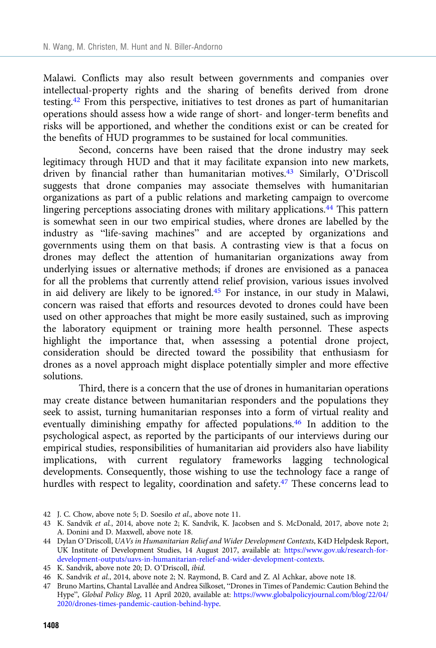Malawi. Conflicts may also result between governments and companies over intellectual-property rights and the sharing of benefits derived from drone testing.42 From this perspective, initiatives to test drones as part of humanitarian operations should assess how a wide range of short- and longer-term benefits and risks will be apportioned, and whether the conditions exist or can be created for the benefits of HUD programmes to be sustained for local communities.

Second, concerns have been raised that the drone industry may seek legitimacy through HUD and that it may facilitate expansion into new markets, driven by financial rather than humanitarian motives.43 Similarly, O'Driscoll suggests that drone companies may associate themselves with humanitarian organizations as part of a public relations and marketing campaign to overcome lingering perceptions associating drones with military applications.<sup>44</sup> This pattern is somewhat seen in our two empirical studies, where drones are labelled by the industry as "life-saving machines" and are accepted by organizations and governments using them on that basis. A contrasting view is that a focus on drones may deflect the attention of humanitarian organizations away from underlying issues or alternative methods; if drones are envisioned as a panacea for all the problems that currently attend relief provision, various issues involved in aid delivery are likely to be ignored.45 For instance, in our study in Malawi, concern was raised that efforts and resources devoted to drones could have been used on other approaches that might be more easily sustained, such as improving the laboratory equipment or training more health personnel. These aspects highlight the importance that, when assessing a potential drone project, consideration should be directed toward the possibility that enthusiasm for drones as a novel approach might displace potentially simpler and more effective solutions.

Third, there is a concern that the use of drones in humanitarian operations may create distance between humanitarian responders and the populations they seek to assist, turning humanitarian responses into a form of virtual reality and eventually diminishing empathy for affected populations.46 In addition to the psychological aspect, as reported by the participants of our interviews during our empirical studies, responsibilities of humanitarian aid providers also have liability implications, with current regulatory frameworks lagging technological developments. Consequently, those wishing to use the technology face a range of hurdles with respect to legality, coordination and safety.<sup>47</sup> These concerns lead to

42 J. C. Chow, above note 5; D. Soesilo et al., above note 11.

<sup>43</sup> K. Sandvik et al., 2014, above note 2; K. Sandvik, K. Jacobsen and S. McDonald, 2017, above note 2; A. Donini and D. Maxwell, above note 18.

<sup>44</sup> Dylan O'Driscoll, UAVs in Humanitarian Relief and Wider Development Contexts, K4D Helpdesk Report, UK Institute of Development Studies, 14 August 2017, available at: [https://www.gov.uk/research-for](https://www.gov.uk/research-for-development-outputs/uavs-in-humanitarian-relief-and-wider-development-contexts)[development-outputs/uavs-in-humanitarian-relief-and-wider-development-contexts](https://www.gov.uk/research-for-development-outputs/uavs-in-humanitarian-relief-and-wider-development-contexts).

<sup>45</sup> K. Sandvik, above note 20; D. O'Driscoll, ibid.

<sup>46</sup> K. Sandvik et al., 2014, above note 2; N. Raymond, B. Card and Z. Al Achkar, above note 18.

<sup>47</sup> Bruno Martins, Chantal Lavallée and Andrea Silkoset, "Drones in Times of Pandemic: Caution Behind the Hype", Global Policy Blog, 11 April 2020, available at: [https://www.globalpolicyjournal.com/blog/22/04/](https://www.globalpolicyjournal.com/blog/22/04/2020/drones-times-pandemic-caution-behind-hype) [2020/drones-times-pandemic-caution-behind-hype.](https://www.globalpolicyjournal.com/blog/22/04/2020/drones-times-pandemic-caution-behind-hype)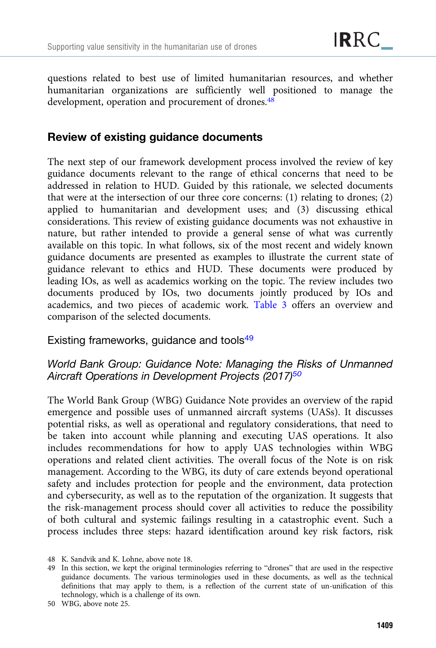questions related to best use of limited humanitarian resources, and whether humanitarian organizations are sufficiently well positioned to manage the development, operation and procurement of drones.<sup>48</sup>

## Review of existing guidance documents

The next step of our framework development process involved the review of key guidance documents relevant to the range of ethical concerns that need to be addressed in relation to HUD. Guided by this rationale, we selected documents that were at the intersection of our three core concerns: (1) relating to drones; (2) applied to humanitarian and development uses; and (3) discussing ethical considerations. This review of existing guidance documents was not exhaustive in nature, but rather intended to provide a general sense of what was currently available on this topic. In what follows, six of the most recent and widely known guidance documents are presented as examples to illustrate the current state of guidance relevant to ethics and HUD. These documents were produced by leading IOs, as well as academics working on the topic. The review includes two documents produced by IOs, two documents jointly produced by IOs and academics, and two pieces of academic work. [Table 3](#page-13-0) offers an overview and comparison of the selected documents.

Existing frameworks, guidance and tools<sup>49</sup>

## World Bank Group: Guidance Note: Managing the Risks of Unmanned Aircraft Operations in Development Projects (2017)<sup>50</sup>

The World Bank Group (WBG) Guidance Note provides an overview of the rapid emergence and possible uses of unmanned aircraft systems (UASs). It discusses potential risks, as well as operational and regulatory considerations, that need to be taken into account while planning and executing UAS operations. It also includes recommendations for how to apply UAS technologies within WBG operations and related client activities. The overall focus of the Note is on risk management. According to the WBG, its duty of care extends beyond operational safety and includes protection for people and the environment, data protection and cybersecurity, as well as to the reputation of the organization. It suggests that the risk-management process should cover all activities to reduce the possibility of both cultural and systemic failings resulting in a catastrophic event. Such a process includes three steps: hazard identification around key risk factors, risk

<sup>48</sup> K. Sandvik and K. Lohne, above note 18.

<sup>49</sup> In this section, we kept the original terminologies referring to "drones" that are used in the respective guidance documents. The various terminologies used in these documents, as well as the technical definitions that may apply to them, is a reflection of the current state of un-unification of this technology, which is a challenge of its own.

<sup>50</sup> WBG, above note 25.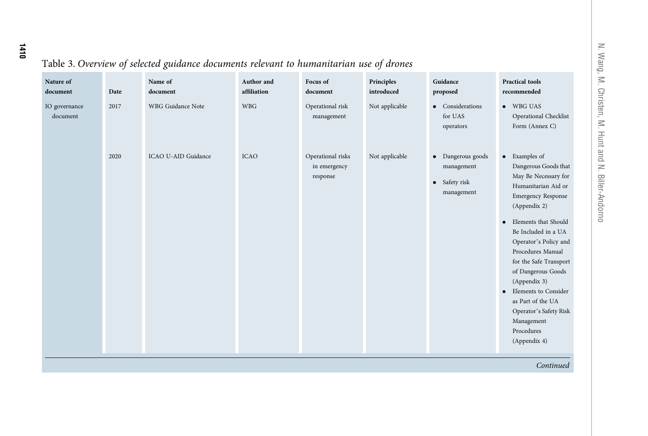# <span id="page-13-0"></span>Table 3. Overview of selected guidance documents relevant to humanitarian use of drones

| Nature of<br>document     | Date | Name of<br>document      | Author and<br>affiliation | Focus of<br>document                          | Principles<br>introduced | Guidance<br>proposed                                           | <b>Practical tools</b><br>recommended                                                                                                                                                                                                                                                                                                                                                                                                       |
|---------------------------|------|--------------------------|---------------------------|-----------------------------------------------|--------------------------|----------------------------------------------------------------|---------------------------------------------------------------------------------------------------------------------------------------------------------------------------------------------------------------------------------------------------------------------------------------------------------------------------------------------------------------------------------------------------------------------------------------------|
| IO governance<br>document | 2017 | <b>WBG</b> Guidance Note | <b>WBG</b>                | Operational risk<br>management                | Not applicable           | • Considerations<br>for UAS<br>operators                       | • WBG UAS<br>Operational Checklist<br>Form (Annex C)                                                                                                                                                                                                                                                                                                                                                                                        |
|                           | 2020 | ICAO U-AID Guidance      | <b>ICAO</b>               | Operational risks<br>in emergency<br>response | Not applicable           | • Dangerous goods<br>management<br>• Safety risk<br>management | • Examples of<br>Dangerous Goods that<br>May Be Necessary for<br>Humanitarian Aid or<br><b>Emergency Response</b><br>(Appendix 2)<br>Elements that Should<br>$\bullet$<br>Be Included in a UA<br>Operator's Policy and<br>Procedures Manual<br>for the Safe Transport<br>of Dangerous Goods<br>(Appendix 3)<br>Elements to Consider<br>$\bullet$<br>as Part of the UA<br>Operator's Safety Risk<br>Management<br>Procedures<br>(Appendix 4) |
|                           |      |                          |                           |                                               |                          |                                                                | Continued                                                                                                                                                                                                                                                                                                                                                                                                                                   |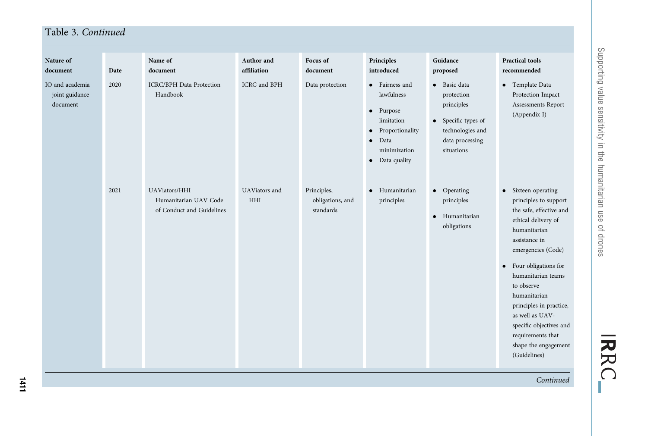| Nature of<br>document                         | Date | Name of<br>document                                                 | Author and<br>affiliation   | Focus of<br>document                         | Principles<br>introduced                                                                                                                                             | Guidance<br>proposed                                                                                                 | <b>Practical tools</b><br>recommended                                                                                                                                                                                                                                                                                                                                     |
|-----------------------------------------------|------|---------------------------------------------------------------------|-----------------------------|----------------------------------------------|----------------------------------------------------------------------------------------------------------------------------------------------------------------------|----------------------------------------------------------------------------------------------------------------------|---------------------------------------------------------------------------------------------------------------------------------------------------------------------------------------------------------------------------------------------------------------------------------------------------------------------------------------------------------------------------|
| IO and academia<br>joint guidance<br>document | 2020 | <b>ICRC/BPH</b> Data Protection<br>Handbook                         | <b>ICRC</b> and BPH         | Data protection                              | • Fairness and<br>lawfulness<br>Purpose<br>$\bullet$<br>limitation<br>Proportionality<br>$\bullet$<br>Data<br>$\bullet$<br>minimization<br>Data quality<br>$\bullet$ | • Basic data<br>protection<br>principles<br>• Specific types of<br>technologies and<br>data processing<br>situations | • Template Data<br>Protection Impact<br>Assessments Report<br>(Appendix I)                                                                                                                                                                                                                                                                                                |
|                                               | 2021 | UAViators/HHI<br>Humanitarian UAV Code<br>of Conduct and Guidelines | UAViators and<br><b>HHI</b> | Principles,<br>obligations, and<br>standards | Humanitarian<br>$\bullet$<br>principles                                                                                                                              | • Operating<br>principles<br>Humanitarian<br>$\bullet$<br>obligations                                                | • Sixteen operating<br>principles to support<br>the safe, effective and<br>ethical delivery of<br>humanitarian<br>assistance in<br>emergencies (Code)<br>• Four obligations for<br>humanitarian teams<br>to observe<br>humanitarian<br>principles in practice,<br>as well as UAV-<br>specific objectives and<br>requirements that<br>shape the engagement<br>(Guidelines) |

Continued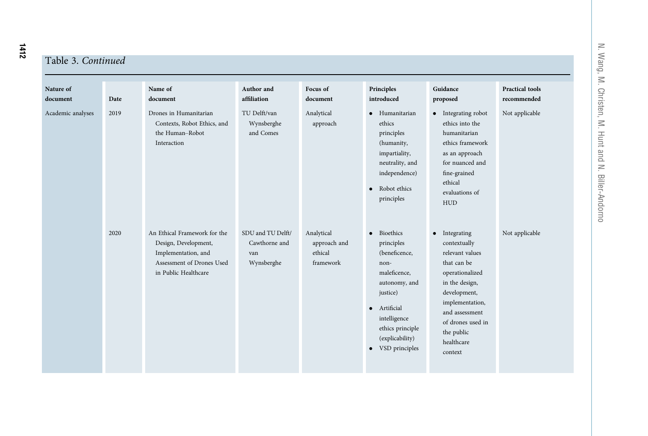# T.

|  | `able 3. Continued |
|--|--------------------|
|  |                    |

| Nature of<br>document | Date | Name of<br>document                                                                                                              | Author and<br>affiliation                               | Focus of<br>document                               | Principles<br>introduced                                                                                                                                                                              | Guidance<br>proposed                                                                                                                                                                                                  | <b>Practical tools</b><br>recommended |
|-----------------------|------|----------------------------------------------------------------------------------------------------------------------------------|---------------------------------------------------------|----------------------------------------------------|-------------------------------------------------------------------------------------------------------------------------------------------------------------------------------------------------------|-----------------------------------------------------------------------------------------------------------------------------------------------------------------------------------------------------------------------|---------------------------------------|
| Academic analyses     | 2019 | Drones in Humanitarian<br>Contexts, Robot Ethics, and<br>the Human-Robot<br>Interaction                                          | TU Delft/van<br>Wynsberghe<br>and Comes                 | Analytical<br>approach                             | • Humanitarian<br>ethics<br>principles<br>(humanity,<br>impartiality,<br>neutrality, and<br>independence)<br>Robot ethics<br>$\bullet$<br>principles                                                  | • Integrating robot<br>ethics into the<br>humanitarian<br>ethics framework<br>as an approach<br>for nuanced and<br>fine-grained<br>ethical<br>evaluations of<br><b>HUD</b>                                            | Not applicable                        |
|                       | 2020 | An Ethical Framework for the<br>Design, Development,<br>Implementation, and<br>Assessment of Drones Used<br>in Public Healthcare | SDU and TU Delft/<br>Cawthorne and<br>van<br>Wynsberghe | Analytical<br>approach and<br>ethical<br>framework | · Bioethics<br>principles<br>(beneficence,<br>non-<br>maleficence,<br>autonomy, and<br>justice)<br>· Artificial<br>intelligence<br>ethics principle<br>(explicability)<br>VSD principles<br>$\bullet$ | • Integrating<br>contextually<br>relevant values<br>that can be<br>operationalized<br>in the design,<br>development,<br>implementation,<br>and assessment<br>of drones used in<br>the public<br>healthcare<br>context | Not applicable                        |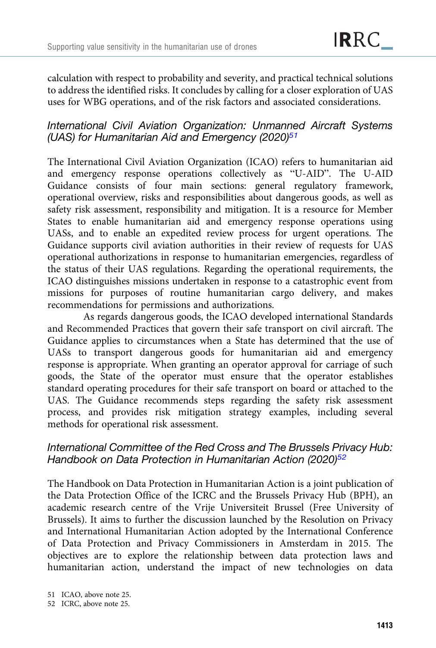calculation with respect to probability and severity, and practical technical solutions to address the identified risks. It concludes by calling for a closer exploration of UAS uses for WBG operations, and of the risk factors and associated considerations.

## International Civil Aviation Organization: Unmanned Aircraft Systems (UAS) for Humanitarian Aid and Emergency (2020) $51$

The International Civil Aviation Organization (ICAO) refers to humanitarian aid and emergency response operations collectively as "U-AID". The U-AID Guidance consists of four main sections: general regulatory framework, operational overview, risks and responsibilities about dangerous goods, as well as safety risk assessment, responsibility and mitigation. It is a resource for Member States to enable humanitarian aid and emergency response operations using UASs, and to enable an expedited review process for urgent operations. The Guidance supports civil aviation authorities in their review of requests for UAS operational authorizations in response to humanitarian emergencies, regardless of the status of their UAS regulations. Regarding the operational requirements, the ICAO distinguishes missions undertaken in response to a catastrophic event from missions for purposes of routine humanitarian cargo delivery, and makes recommendations for permissions and authorizations.

As regards dangerous goods, the ICAO developed international Standards and Recommended Practices that govern their safe transport on civil aircraft. The Guidance applies to circumstances when a State has determined that the use of UASs to transport dangerous goods for humanitarian aid and emergency response is appropriate. When granting an operator approval for carriage of such goods, the State of the operator must ensure that the operator establishes standard operating procedures for their safe transport on board or attached to the UAS. The Guidance recommends steps regarding the safety risk assessment process, and provides risk mitigation strategy examples, including several methods for operational risk assessment.

## International Committee of the Red Cross and The Brussels Privacy Hub: Handbook on Data Protection in Humanitarian Action (2020)<sup>52</sup>

The Handbook on Data Protection in Humanitarian Action is a joint publication of the Data Protection Office of the ICRC and the Brussels Privacy Hub (BPH), an academic research centre of the Vrije Universiteit Brussel (Free University of Brussels). It aims to further the discussion launched by the Resolution on Privacy and International Humanitarian Action adopted by the International Conference of Data Protection and Privacy Commissioners in Amsterdam in 2015. The objectives are to explore the relationship between data protection laws and humanitarian action, understand the impact of new technologies on data

<sup>51</sup> ICAO, above note 25.

<sup>52</sup> ICRC, above note 25.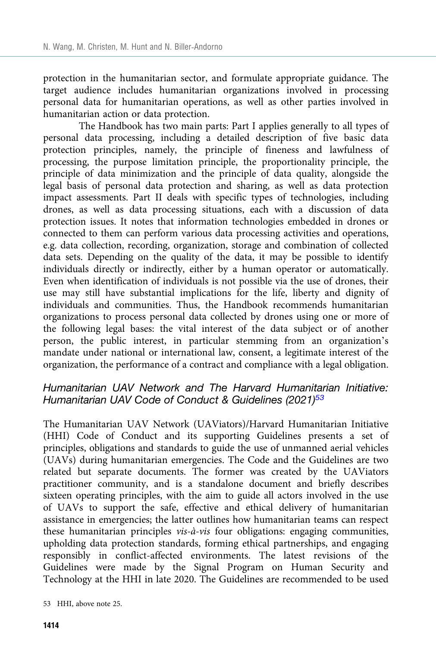protection in the humanitarian sector, and formulate appropriate guidance. The target audience includes humanitarian organizations involved in processing personal data for humanitarian operations, as well as other parties involved in humanitarian action or data protection.

The Handbook has two main parts: Part I applies generally to all types of personal data processing, including a detailed description of five basic data protection principles, namely, the principle of fineness and lawfulness of processing, the purpose limitation principle, the proportionality principle, the principle of data minimization and the principle of data quality, alongside the legal basis of personal data protection and sharing, as well as data protection impact assessments. Part II deals with specific types of technologies, including drones, as well as data processing situations, each with a discussion of data protection issues. It notes that information technologies embedded in drones or connected to them can perform various data processing activities and operations, e.g. data collection, recording, organization, storage and combination of collected data sets. Depending on the quality of the data, it may be possible to identify individuals directly or indirectly, either by a human operator or automatically. Even when identification of individuals is not possible via the use of drones, their use may still have substantial implications for the life, liberty and dignity of individuals and communities. Thus, the Handbook recommends humanitarian organizations to process personal data collected by drones using one or more of the following legal bases: the vital interest of the data subject or of another person, the public interest, in particular stemming from an organization's mandate under national or international law, consent, a legitimate interest of the organization, the performance of a contract and compliance with a legal obligation.

## Humanitarian UAV Network and The Harvard Humanitarian Initiative: Humanitarian UAV Code of Conduct & Guidelines (2021)<sup>53</sup>

The Humanitarian UAV Network (UAViators)/Harvard Humanitarian Initiative (HHI) Code of Conduct and its supporting Guidelines presents a set of principles, obligations and standards to guide the use of unmanned aerial vehicles (UAVs) during humanitarian emergencies. The Code and the Guidelines are two related but separate documents. The former was created by the UAViators practitioner community, and is a standalone document and briefly describes sixteen operating principles, with the aim to guide all actors involved in the use of UAVs to support the safe, effective and ethical delivery of humanitarian assistance in emergencies; the latter outlines how humanitarian teams can respect these humanitarian principles vis-à-vis four obligations: engaging communities, upholding data protection standards, forming ethical partnerships, and engaging responsibly in conflict-affected environments. The latest revisions of the Guidelines were made by the Signal Program on Human Security and Technology at the HHI in late 2020. The Guidelines are recommended to be used

<sup>53</sup> HHI, above note 25.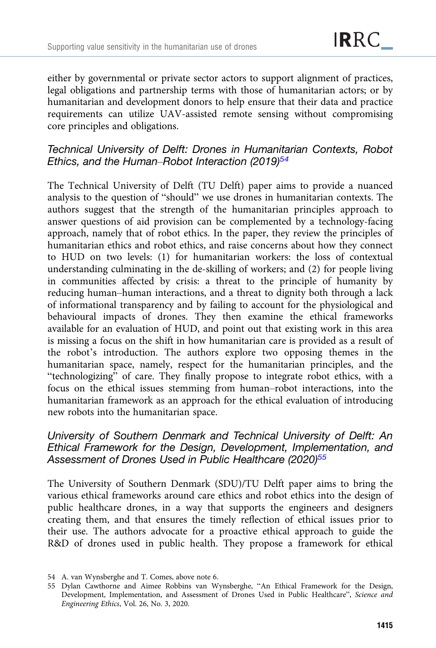either by governmental or private sector actors to support alignment of practices, legal obligations and partnership terms with those of humanitarian actors; or by humanitarian and development donors to help ensure that their data and practice requirements can utilize UAV-assisted remote sensing without compromising core principles and obligations.

## Technical University of Delft: Drones in Humanitarian Contexts, Robot Ethics, and the Human–Robot Interaction (2019)<sup>54</sup>

The Technical University of Delft (TU Delft) paper aims to provide a nuanced analysis to the question of "should" we use drones in humanitarian contexts. The authors suggest that the strength of the humanitarian principles approach to answer questions of aid provision can be complemented by a technology-facing approach, namely that of robot ethics. In the paper, they review the principles of humanitarian ethics and robot ethics, and raise concerns about how they connect to HUD on two levels: (1) for humanitarian workers: the loss of contextual understanding culminating in the de-skilling of workers; and (2) for people living in communities affected by crisis: a threat to the principle of humanity by reducing human–human interactions, and a threat to dignity both through a lack of informational transparency and by failing to account for the physiological and behavioural impacts of drones. They then examine the ethical frameworks available for an evaluation of HUD, and point out that existing work in this area is missing a focus on the shift in how humanitarian care is provided as a result of the robot's introduction. The authors explore two opposing themes in the humanitarian space, namely, respect for the humanitarian principles, and the "technologizing" of care. They finally propose to integrate robot ethics, with a focus on the ethical issues stemming from human–robot interactions, into the humanitarian framework as an approach for the ethical evaluation of introducing new robots into the humanitarian space.

## University of Southern Denmark and Technical University of Delft: An Ethical Framework for the Design, Development, Implementation, and Assessment of Drones Used in Public Healthcare (2020)<sup>55</sup>

The University of Southern Denmark (SDU)/TU Delft paper aims to bring the various ethical frameworks around care ethics and robot ethics into the design of public healthcare drones, in a way that supports the engineers and designers creating them, and that ensures the timely reflection of ethical issues prior to their use. The authors advocate for a proactive ethical approach to guide the R&D of drones used in public health. They propose a framework for ethical

<sup>54</sup> A. van Wynsberghe and T. Comes, above note 6.

<sup>55</sup> Dylan Cawthorne and Aimee Robbins van Wynsberghe, "An Ethical Framework for the Design, Development, Implementation, and Assessment of Drones Used in Public Healthcare", Science and Engineering Ethics, Vol. 26, No. 3, 2020.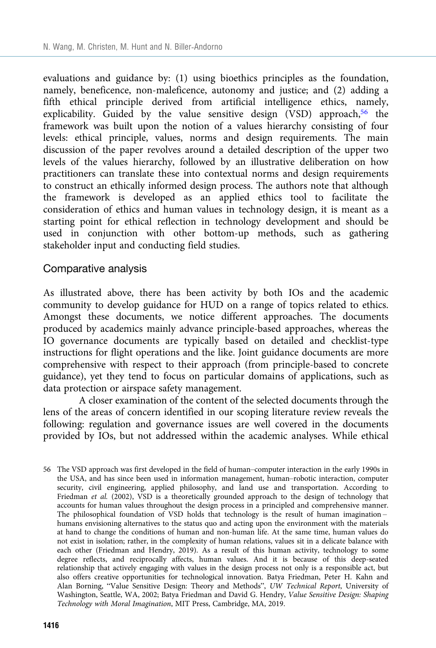evaluations and guidance by: (1) using bioethics principles as the foundation, namely, beneficence, non-maleficence, autonomy and justice; and (2) adding a fifth ethical principle derived from artificial intelligence ethics, namely, explicability. Guided by the value sensitive design (VSD) approach,<sup>56</sup> the framework was built upon the notion of a values hierarchy consisting of four levels: ethical principle, values, norms and design requirements. The main discussion of the paper revolves around a detailed description of the upper two levels of the values hierarchy, followed by an illustrative deliberation on how practitioners can translate these into contextual norms and design requirements to construct an ethically informed design process. The authors note that although the framework is developed as an applied ethics tool to facilitate the consideration of ethics and human values in technology design, it is meant as a starting point for ethical reflection in technology development and should be used in conjunction with other bottom-up methods, such as gathering stakeholder input and conducting field studies.

#### Comparative analysis

As illustrated above, there has been activity by both IOs and the academic community to develop guidance for HUD on a range of topics related to ethics. Amongst these documents, we notice different approaches. The documents produced by academics mainly advance principle-based approaches, whereas the IO governance documents are typically based on detailed and checklist-type instructions for flight operations and the like. Joint guidance documents are more comprehensive with respect to their approach (from principle-based to concrete guidance), yet they tend to focus on particular domains of applications, such as data protection or airspace safety management.

A closer examination of the content of the selected documents through the lens of the areas of concern identified in our scoping literature review reveals the following: regulation and governance issues are well covered in the documents provided by IOs, but not addressed within the academic analyses. While ethical

56 The VSD approach was first developed in the field of human–computer interaction in the early 1990s in the USA, and has since been used in information management, human–robotic interaction, computer security, civil engineering, applied philosophy, and land use and transportation. According to Friedman et al. (2002), VSD is a theoretically grounded approach to the design of technology that accounts for human values throughout the design process in a principled and comprehensive manner. The philosophical foundation of VSD holds that technology is the result of human imagination – humans envisioning alternatives to the status quo and acting upon the environment with the materials at hand to change the conditions of human and non-human life. At the same time, human values do not exist in isolation; rather, in the complexity of human relations, values sit in a delicate balance with each other (Friedman and Hendry, 2019). As a result of this human activity, technology to some degree reflects, and reciprocally affects, human values. And it is because of this deep-seated relationship that actively engaging with values in the design process not only is a responsible act, but also offers creative opportunities for technological innovation. Batya Friedman, Peter H. Kahn and Alan Borning, "Value Sensitive Design: Theory and Methods", UW Technical Report, University of Washington, Seattle, WA, 2002; Batya Friedman and David G. Hendry, Value Sensitive Design: Shaping Technology with Moral Imagination, MIT Press, Cambridge, MA, 2019.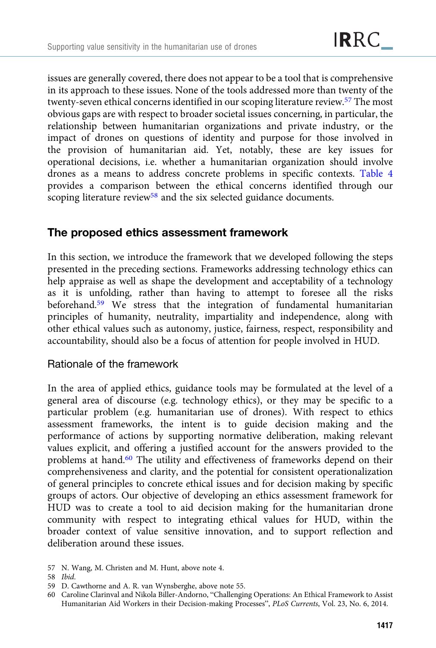issues are generally covered, there does not appear to be a tool that is comprehensive in its approach to these issues. None of the tools addressed more than twenty of the twenty-seven ethical concerns identified in our scoping literature review.57 The most obvious gaps are with respect to broader societal issues concerning, in particular, the relationship between humanitarian organizations and private industry, or the impact of drones on questions of identity and purpose for those involved in the provision of humanitarian aid. Yet, notably, these are key issues for operational decisions, i.e. whether a humanitarian organization should involve drones as a means to address concrete problems in specific contexts. [Table 4](#page-21-0) provides a comparison between the ethical concerns identified through our scoping literature review<sup>58</sup> and the six selected guidance documents.

# The proposed ethics assessment framework

In this section, we introduce the framework that we developed following the steps presented in the preceding sections. Frameworks addressing technology ethics can help appraise as well as shape the development and acceptability of a technology as it is unfolding, rather than having to attempt to foresee all the risks beforehand.<sup>59</sup> We stress that the integration of fundamental humanitarian principles of humanity, neutrality, impartiality and independence, along with other ethical values such as autonomy, justice, fairness, respect, responsibility and accountability, should also be a focus of attention for people involved in HUD.

## Rationale of the framework

In the area of applied ethics, guidance tools may be formulated at the level of a general area of discourse (e.g. technology ethics), or they may be specific to a particular problem (e.g. humanitarian use of drones). With respect to ethics assessment frameworks, the intent is to guide decision making and the performance of actions by supporting normative deliberation, making relevant values explicit, and offering a justified account for the answers provided to the problems at hand.60 The utility and effectiveness of frameworks depend on their comprehensiveness and clarity, and the potential for consistent operationalization of general principles to concrete ethical issues and for decision making by specific groups of actors. Our objective of developing an ethics assessment framework for HUD was to create a tool to aid decision making for the humanitarian drone community with respect to integrating ethical values for HUD, within the broader context of value sensitive innovation, and to support reflection and deliberation around these issues.

<sup>57</sup> N. Wang, M. Christen and M. Hunt, above note 4.

<sup>58</sup> Ibid.

<sup>59</sup> D. Cawthorne and A. R. van Wynsberghe, above note 55.

<sup>60</sup> Caroline Clarinval and Nikola Biller-Andorno, "Challenging Operations: An Ethical Framework to Assist Humanitarian Aid Workers in their Decision-making Processes", PLoS Currents, Vol. 23, No. 6, 2014.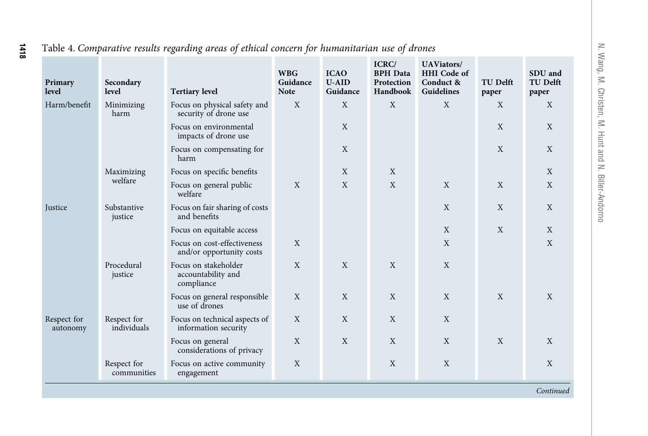| Primary<br>level        | Secondary<br>level         | <b>Tertiary level</b>                                    | <b>WBG</b><br>Guidance<br><b>Note</b> | <b>ICAO</b><br>$U-AID$<br>Guidance | ICRC/<br><b>BPH</b> Data<br>Protection<br>Handbook | <b>UAViators/</b><br><b>HHI</b> Code of<br>Conduct &<br>Guidelines | <b>TU Delft</b><br>paper | SDU and<br><b>TU Delft</b><br>paper |
|-------------------------|----------------------------|----------------------------------------------------------|---------------------------------------|------------------------------------|----------------------------------------------------|--------------------------------------------------------------------|--------------------------|-------------------------------------|
| Harm/benefit            | Minimizing<br>harm         | Focus on physical safety and<br>security of drone use    | $\mathbf{X}$                          | X                                  | X                                                  | X                                                                  | X                        | X                                   |
|                         |                            | Focus on environmental<br>impacts of drone use           |                                       | X                                  |                                                    |                                                                    | X                        | X                                   |
|                         |                            | Focus on compensating for<br>harm                        |                                       | X                                  |                                                    |                                                                    | X                        | X                                   |
|                         | Maximizing                 | Focus on specific benefits                               |                                       | X                                  | X                                                  |                                                                    |                          | $\mathbf{X}$                        |
|                         | welfare                    | Focus on general public<br>welfare                       | $\mathbf{X}$                          | X                                  | $\mathbf{X}$                                       | $\mathbf{X}$                                                       | X                        | X                                   |
| <b>Justice</b>          | Substantive<br>justice     | Focus on fair sharing of costs<br>and benefits           |                                       |                                    |                                                    | X                                                                  | X                        | X                                   |
|                         |                            | Focus on equitable access                                |                                       |                                    |                                                    | X                                                                  | X                        | X                                   |
|                         |                            | Focus on cost-effectiveness<br>and/or opportunity costs  | X                                     |                                    |                                                    | X                                                                  |                          | X                                   |
|                         | Procedural<br>justice      | Focus on stakeholder<br>accountability and<br>compliance | X                                     | X                                  | X                                                  | X                                                                  |                          |                                     |
|                         |                            | Focus on general responsible<br>use of drones            | X                                     | X                                  | X                                                  | X                                                                  | X                        | $\mathbf{X}$                        |
| Respect for<br>autonomy | Respect for<br>individuals | Focus on technical aspects of<br>information security    | X                                     | X                                  | X                                                  | X                                                                  |                          |                                     |
|                         |                            | Focus on general<br>considerations of privacy            | X                                     | X                                  | X                                                  | X                                                                  | X                        | X                                   |
|                         | Respect for<br>communities | Focus on active community<br>engagement                  | X                                     |                                    | X                                                  | X                                                                  |                          | X                                   |
|                         |                            |                                                          |                                       |                                    |                                                    |                                                                    |                          | Continued                           |

#### Table 4. Comparative results regarding areas of ethical concern for humanitarian use of drones

<span id="page-21-0"></span>1418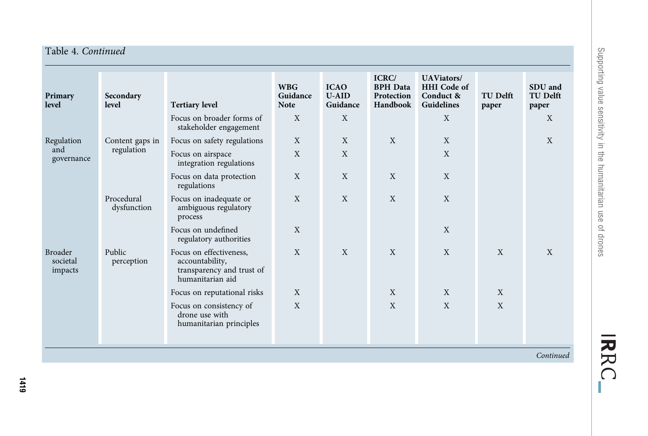| Primary<br>level                      | Secondary<br>level        | <b>Tertiary level</b>                                                                       | <b>WBG</b><br>Guidance<br><b>Note</b> | <b>ICAO</b><br>$U-AID$<br>Guidance | ICRC/<br><b>BPH</b> Data<br>Protection<br>Handbook | <b>UAViators/</b><br><b>HHI</b> Code of<br>Conduct &<br><b>Guidelines</b> | <b>TU Delft</b><br>paper | SDU and<br><b>TU Delft</b><br>paper |
|---------------------------------------|---------------------------|---------------------------------------------------------------------------------------------|---------------------------------------|------------------------------------|----------------------------------------------------|---------------------------------------------------------------------------|--------------------------|-------------------------------------|
|                                       |                           | Focus on broader forms of<br>stakeholder engagement                                         | X                                     | X                                  |                                                    | X                                                                         |                          | X                                   |
| Regulation                            | Content gaps in           | Focus on safety regulations                                                                 | X                                     | X                                  | X                                                  | X                                                                         |                          | X                                   |
| and<br>governance                     | regulation                | Focus on airspace<br>integration regulations                                                | X                                     | X                                  |                                                    | X                                                                         |                          |                                     |
|                                       |                           | Focus on data protection<br>regulations                                                     | X                                     | X                                  | X                                                  | X                                                                         |                          |                                     |
|                                       | Procedural<br>dysfunction | Focus on inadequate or<br>ambiguous regulatory<br>process                                   | X                                     | X                                  | X                                                  | X                                                                         |                          |                                     |
|                                       |                           | Focus on undefined<br>regulatory authorities                                                | X                                     |                                    |                                                    | X                                                                         |                          |                                     |
| <b>Broader</b><br>societal<br>impacts | Public<br>perception      | Focus on effectiveness,<br>accountability,<br>transparency and trust of<br>humanitarian aid | X                                     | $\mathbf{X}$                       | X                                                  | X                                                                         | X                        | X                                   |
|                                       |                           | Focus on reputational risks                                                                 | X                                     |                                    | X                                                  | X                                                                         | X                        |                                     |
|                                       |                           | Focus on consistency of<br>drone use with<br>humanitarian principles                        | X                                     |                                    | X                                                  | $\mathbf{X}$                                                              | X                        |                                     |
|                                       |                           |                                                                                             |                                       |                                    |                                                    |                                                                           |                          |                                     |

Continued

Supporting value sensitivity in the humanitarian use of drones Supporting value sensitivity in the humanitarian use of drones

IRRC\_

Table 4. Continued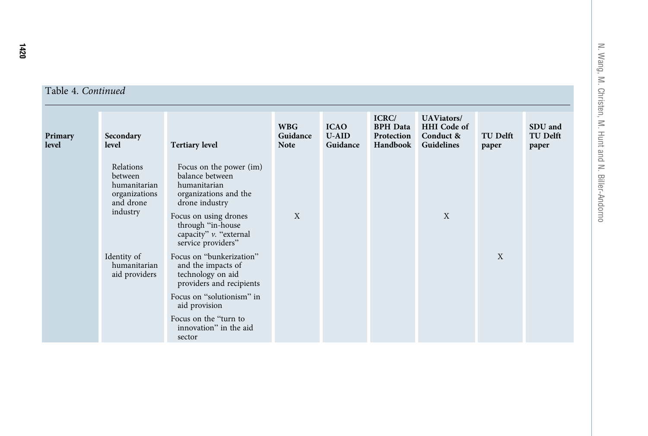| Primary<br>level | Secondary<br>level                                                             | <b>Tertiary level</b>                                                                                                                                                                               | <b>WBG</b><br>Guidance<br><b>Note</b> | <b>ICAO</b><br>$U-AID$<br>Guidance | ICRC/<br><b>BPH</b> Data<br>Protection<br>Handbook | <b>UAViators/</b><br><b>HHI</b> Code of<br>Conduct &<br>Guidelines | <b>TU Delft</b><br>paper | SDU and<br><b>TU Delft</b><br>paper |
|------------------|--------------------------------------------------------------------------------|-----------------------------------------------------------------------------------------------------------------------------------------------------------------------------------------------------|---------------------------------------|------------------------------------|----------------------------------------------------|--------------------------------------------------------------------|--------------------------|-------------------------------------|
|                  | Relations<br>between<br>humanitarian<br>organizations<br>and drone<br>industry | Focus on the power (im)<br>balance between<br>humanitarian<br>organizations and the<br>drone industry<br>Focus on using drones<br>through "in-house<br>capacity" v. "external<br>service providers" | X                                     |                                    |                                                    | X                                                                  |                          |                                     |
|                  | Identity of<br>humanitarian<br>aid providers                                   | Focus on "bunkerization"<br>and the impacts of<br>technology on aid<br>providers and recipients                                                                                                     |                                       |                                    |                                                    |                                                                    | X                        |                                     |
|                  |                                                                                | Focus on "solutionism" in<br>aid provision<br>Focus on the "turn to<br>innovation" in the aid                                                                                                       |                                       |                                    |                                                    |                                                                    |                          |                                     |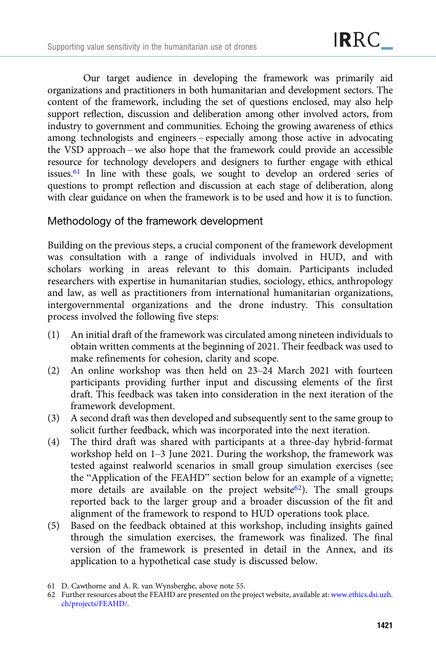Our target audience in developing the framework was primarily aid organizations and practitioners in both humanitarian and development sectors. The content of the framework, including the set of questions enclosed, may also help support reflection, discussion and deliberation among other involved actors, from industry to government and communities. Echoing the growing awareness of ethics among technologists and engineers – especially among those active in advocating the VSD approach – we also hope that the framework could provide an accessible resource for technology developers and designers to further engage with ethical issues.61 In line with these goals, we sought to develop an ordered series of questions to prompt reflection and discussion at each stage of deliberation, along with clear guidance on when the framework is to be used and how it is to function.

## Methodology of the framework development

Building on the previous steps, a crucial component of the framework development was consultation with a range of individuals involved in HUD, and with scholars working in areas relevant to this domain. Participants included researchers with expertise in humanitarian studies, sociology, ethics, anthropology and law, as well as practitioners from international humanitarian organizations, intergovernmental organizations and the drone industry. This consultation process involved the following five steps:

- (1) An initial draft of the framework was circulated among nineteen individuals to obtain written comments at the beginning of 2021. Their feedback was used to make refinements for cohesion, clarity and scope.
- (2) An online workshop was then held on 23–24 March 2021 with fourteen participants providing further input and discussing elements of the first draft. This feedback was taken into consideration in the next iteration of the framework development.
- (3) A second draft was then developed and subsequently sent to the same group to solicit further feedback, which was incorporated into the next iteration.
- (4) The third draft was shared with participants at a three-day hybrid-format workshop held on 1–3 June 2021. During the workshop, the framework was tested against realworld scenarios in small group simulation exercises (see the "Application of the FEAHD" section below for an example of a vignette; more details are available on the project website<sup>62</sup>). The small groups reported back to the larger group and a broader discussion of the fit and alignment of the framework to respond to HUD operations took place.
- (5) Based on the feedback obtained at this workshop, including insights gained through the simulation exercises, the framework was finalized. The final version of the framework is presented in detail in the Annex, and its application to a hypothetical case study is discussed below.

<sup>61</sup> D. Cawthorne and A. R. van Wynsberghe, above note 55.

<sup>62</sup> Further resources about the FEAHD are presented on the project website, available at: [www.ethics.dsi.uzh.](https://www.ethics.dsi.uzh.ch/projects/FEAHD/) [ch/projects/FEAHD/](https://www.ethics.dsi.uzh.ch/projects/FEAHD/).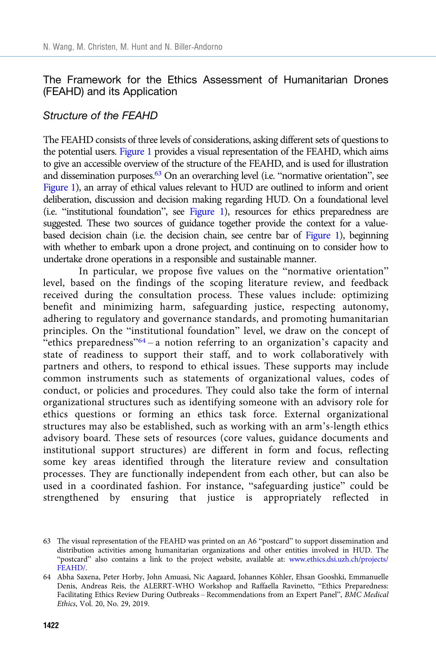## The Framework for the Ethics Assessment of Humanitarian Drones (FEAHD) and its Application

## Structure of the FEAHD

The FEAHD consists of three levels of considerations, asking different sets of questions to the potential users. [Figure 1](#page-26-0) provides a visual representation of the FEAHD, which aims to give an accessible overview of the structure of the FEAHD, and is used for illustration and dissemination purposes.<sup>63</sup> On an overarching level (i.e. "normative orientation", see [Figure 1](#page-26-0)), an array of ethical values relevant to HUD are outlined to inform and orient deliberation, discussion and decision making regarding HUD. On a foundational level (i.e. "institutional foundation", see [Figure 1\)](#page-26-0), resources for ethics preparedness are suggested. These two sources of guidance together provide the context for a valuebased decision chain (i.e. the decision chain, see centre bar of [Figure 1](#page-26-0)), beginning with whether to embark upon a drone project, and continuing on to consider how to undertake drone operations in a responsible and sustainable manner.

In particular, we propose five values on the "normative orientation" level, based on the findings of the scoping literature review, and feedback received during the consultation process. These values include: optimizing benefit and minimizing harm, safeguarding justice, respecting autonomy, adhering to regulatory and governance standards, and promoting humanitarian principles. On the "institutional foundation" level, we draw on the concept of "ethics preparedness"<sup>64</sup> – a notion referring to an organization's capacity and state of readiness to support their staff, and to work collaboratively with partners and others, to respond to ethical issues. These supports may include common instruments such as statements of organizational values, codes of conduct, or policies and procedures. They could also take the form of internal organizational structures such as identifying someone with an advisory role for ethics questions or forming an ethics task force. External organizational structures may also be established, such as working with an arm's-length ethics advisory board. These sets of resources (core values, guidance documents and institutional support structures) are different in form and focus, reflecting some key areas identified through the literature review and consultation processes. They are functionally independent from each other, but can also be used in a coordinated fashion. For instance, "safeguarding justice" could be strengthened by ensuring that justice is appropriately reflected in

<sup>63</sup> The visual representation of the FEAHD was printed on an A6 "postcard" to support dissemination and distribution activities among humanitarian organizations and other entities involved in HUD. The "postcard" also contains a link to the project website, available at: [www.ethics.dsi.uzh.ch/projects/](https://www.ethics.dsi.uzh.ch/projects/FEAHD/) [FEAHD/](https://www.ethics.dsi.uzh.ch/projects/FEAHD/).

<sup>64</sup> Abha Saxena, Peter Horby, John Amuasi, Nic Aagaard, Johannes Köhler, Ehsan Gooshki, Emmanuelle Denis, Andreas Reis, the ALERRT-WHO Workshop and Raffaella Ravinetto, "Ethics Preparedness: Facilitating Ethics Review During Outbreaks – Recommendations from an Expert Panel", BMC Medical Ethics, Vol. 20, No. 29, 2019.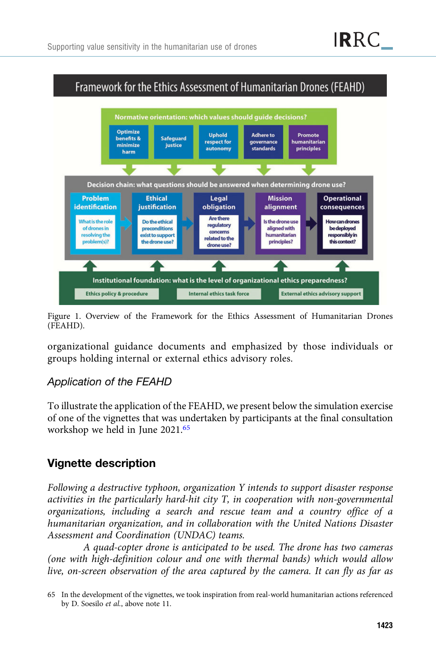<span id="page-26-0"></span>

Figure 1. Overview of the Framework for the Ethics Assessment of Humanitarian Drones (FEAHD).

organizational guidance documents and emphasized by those individuals or groups holding internal or external ethics advisory roles.

## Application of the FEAHD

To illustrate the application of the FEAHD, we present below the simulation exercise of one of the vignettes that was undertaken by participants at the final consultation workshop we held in June 2021.<sup>65</sup>

# Vignette description

Following a destructive typhoon, organization Y intends to support disaster response activities in the particularly hard-hit city T, in cooperation with non-governmental organizations, including a search and rescue team and a country office of a humanitarian organization, and in collaboration with the United Nations Disaster Assessment and Coordination (UNDAC) teams.

A quad-copter drone is anticipated to be used. The drone has two cameras (one with high-definition colour and one with thermal bands) which would allow live, on-screen observation of the area captured by the camera. It can fly as far as

<sup>65</sup> In the development of the vignettes, we took inspiration from real-world humanitarian actions referenced by D. Soesilo et al., above note 11.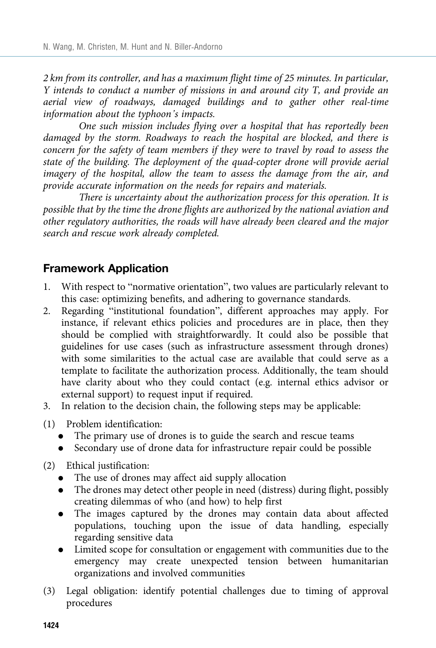2 km from its controller, and has a maximum flight time of 25 minutes. In particular, Y intends to conduct a number of missions in and around city T, and provide an aerial view of roadways, damaged buildings and to gather other real-time information about the typhoon's impacts.

One such mission includes flying over a hospital that has reportedly been damaged by the storm. Roadways to reach the hospital are blocked, and there is concern for the safety of team members if they were to travel by road to assess the state of the building. The deployment of the quad-copter drone will provide aerial imagery of the hospital, allow the team to assess the damage from the air, and provide accurate information on the needs for repairs and materials.

There is uncertainty about the authorization process for this operation. It is possible that by the time the drone flights are authorized by the national aviation and other regulatory authorities, the roads will have already been cleared and the major search and rescue work already completed.

# Framework Application

- 1. With respect to "normative orientation", two values are particularly relevant to this case: optimizing benefits, and adhering to governance standards.
- 2. Regarding "institutional foundation", different approaches may apply. For instance, if relevant ethics policies and procedures are in place, then they should be complied with straightforwardly. It could also be possible that guidelines for use cases (such as infrastructure assessment through drones) with some similarities to the actual case are available that could serve as a template to facilitate the authorization process. Additionally, the team should have clarity about who they could contact (e.g. internal ethics advisor or external support) to request input if required.
- 3. In relation to the decision chain, the following steps may be applicable:
- (1) Problem identification:
	- The primary use of drones is to guide the search and rescue teams
	- . Secondary use of drone data for infrastructure repair could be possible
- (2) Ethical justification:
	- . The use of drones may affect aid supply allocation
	- . The drones may detect other people in need (distress) during flight, possibly creating dilemmas of who (and how) to help first
	- . The images captured by the drones may contain data about affected populations, touching upon the issue of data handling, especially regarding sensitive data
	- . Limited scope for consultation or engagement with communities due to the emergency may create unexpected tension between humanitarian organizations and involved communities
- (3) Legal obligation: identify potential challenges due to timing of approval procedures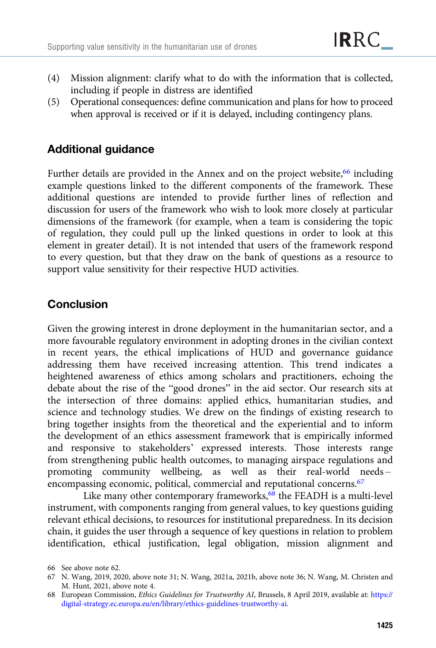- (4) Mission alignment: clarify what to do with the information that is collected, including if people in distress are identified
- (5) Operational consequences: define communication and plans for how to proceed when approval is received or if it is delayed, including contingency plans.

# Additional guidance

Further details are provided in the Annex and on the project website,<sup>66</sup> including example questions linked to the different components of the framework. These additional questions are intended to provide further lines of reflection and discussion for users of the framework who wish to look more closely at particular dimensions of the framework (for example, when a team is considering the topic of regulation, they could pull up the linked questions in order to look at this element in greater detail). It is not intended that users of the framework respond to every question, but that they draw on the bank of questions as a resource to support value sensitivity for their respective HUD activities.

# Conclusion

Given the growing interest in drone deployment in the humanitarian sector, and a more favourable regulatory environment in adopting drones in the civilian context in recent years, the ethical implications of HUD and governance guidance addressing them have received increasing attention. This trend indicates a heightened awareness of ethics among scholars and practitioners, echoing the debate about the rise of the "good drones" in the aid sector. Our research sits at the intersection of three domains: applied ethics, humanitarian studies, and science and technology studies. We drew on the findings of existing research to bring together insights from the theoretical and the experiential and to inform the development of an ethics assessment framework that is empirically informed and responsive to stakeholders' expressed interests. Those interests range from strengthening public health outcomes, to managing airspace regulations and promoting community wellbeing, as well as their real-world needs – encompassing economic, political, commercial and reputational concerns.<sup>67</sup>

Like many other contemporary frameworks,<sup>68</sup> the FEADH is a multi-level instrument, with components ranging from general values, to key questions guiding relevant ethical decisions, to resources for institutional preparedness. In its decision chain, it guides the user through a sequence of key questions in relation to problem identification, ethical justification, legal obligation, mission alignment and

<sup>66</sup> See above note 62.

<sup>67</sup> N. Wang, 2019, 2020, above note 31; N. Wang, 2021a, 2021b, above note 36; N. Wang, M. Christen and M. Hunt, 2021, above note 4.

<sup>68</sup> European Commission, Ethics Guidelines for Trustworthy AI, Brussels, 8 April 2019, available at: [https://](https://digital-strategy.ec.europa.eu/en/library/ethics-guidelines-trustworthy-ai) [digital-strategy.ec.europa.eu/en/library/ethics-guidelines-trustworthy-ai.](https://digital-strategy.ec.europa.eu/en/library/ethics-guidelines-trustworthy-ai)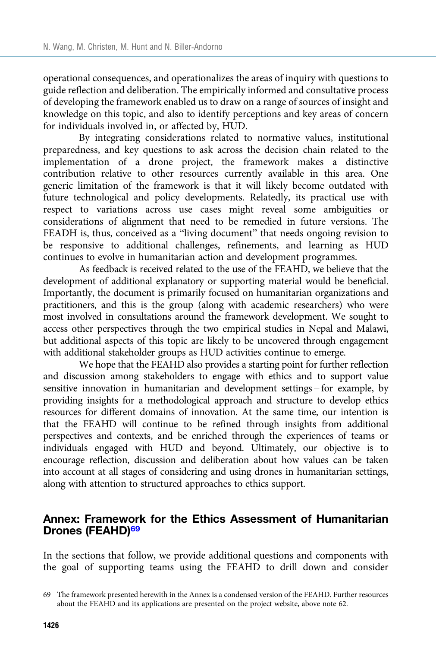<span id="page-29-0"></span>operational consequences, and operationalizes the areas of inquiry with questions to guide reflection and deliberation. The empirically informed and consultative process of developing the framework enabled us to draw on a range of sources of insight and knowledge on this topic, and also to identify perceptions and key areas of concern for individuals involved in, or affected by, HUD.

By integrating considerations related to normative values, institutional preparedness, and key questions to ask across the decision chain related to the implementation of a drone project, the framework makes a distinctive contribution relative to other resources currently available in this area. One generic limitation of the framework is that it will likely become outdated with future technological and policy developments. Relatedly, its practical use with respect to variations across use cases might reveal some ambiguities or considerations of alignment that need to be remedied in future versions. The FEADH is, thus, conceived as a "living document" that needs ongoing revision to be responsive to additional challenges, refinements, and learning as HUD continues to evolve in humanitarian action and development programmes.

As feedback is received related to the use of the FEAHD, we believe that the development of additional explanatory or supporting material would be beneficial. Importantly, the document is primarily focused on humanitarian organizations and practitioners, and this is the group (along with academic researchers) who were most involved in consultations around the framework development. We sought to access other perspectives through the two empirical studies in Nepal and Malawi, but additional aspects of this topic are likely to be uncovered through engagement with additional stakeholder groups as HUD activities continue to emerge.

We hope that the FEAHD also provides a starting point for further reflection and discussion among stakeholders to engage with ethics and to support value sensitive innovation in humanitarian and development settings – for example, by providing insights for a methodological approach and structure to develop ethics resources for different domains of innovation. At the same time, our intention is that the FEAHD will continue to be refined through insights from additional perspectives and contexts, and be enriched through the experiences of teams or individuals engaged with HUD and beyond. Ultimately, our objective is to encourage reflection, discussion and deliberation about how values can be taken into account at all stages of considering and using drones in humanitarian settings, along with attention to structured approaches to ethics support.

## Annex: Framework for the Ethics Assessment of Humanitarian Drones (FEAHD)<sup>69</sup>

In the sections that follow, we provide additional questions and components with the goal of supporting teams using the FEAHD to drill down and consider

<sup>69</sup> The framework presented herewith in the Annex is a condensed version of the FEAHD. Further resources about the FEAHD and its applications are presented on the project website, above note 62.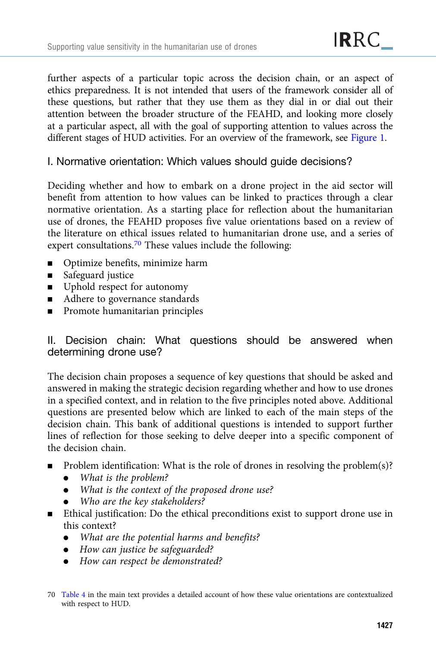further aspects of a particular topic across the decision chain, or an aspect of ethics preparedness. It is not intended that users of the framework consider all of these questions, but rather that they use them as they dial in or dial out their attention between the broader structure of the FEAHD, and looking more closely at a particular aspect, all with the goal of supporting attention to values across the different stages of HUD activities. For an overview of the framework, see [Figure 1.](#page-26-0)

## I. Normative orientation: Which values should guide decisions?

Deciding whether and how to embark on a drone project in the aid sector will benefit from attention to how values can be linked to practices through a clear normative orientation. As a starting place for reflection about the humanitarian use of drones, the FEAHD proposes five value orientations based on a review of the literature on ethical issues related to humanitarian drone use, and a series of expert consultations.[70](#page-29-0) These values include the following:

- **•** Optimize benefits, minimize harm
- Safeguard justice
- **■** Uphold respect for autonomy
- Adhere to governance standards
- **EXECUTE:** Promote humanitarian principles

## II. Decision chain: What questions should be answered when determining drone use?

The decision chain proposes a sequence of key questions that should be asked and answered in making the strategic decision regarding whether and how to use drones in a specified context, and in relation to the five principles noted above. Additional questions are presented below which are linked to each of the main steps of the decision chain. This bank of additional questions is intended to support further lines of reflection for those seeking to delve deeper into a specific component of the decision chain.

- $\blacksquare$  Problem identification: What is the role of drones in resolving the problem(s)?
	- . What is the problem?
	- . What is the context of the proposed drone use?
	- Who are the key stakeholders?
- **Ethical justification:** Do the ethical preconditions exist to support drone use in this context?
	- What are the potential harms and benefits?
	- . How can justice be safeguarded?
	- How can respect be demonstrated?

<sup>70</sup> [Table 4](#page-21-0) in the main text provides a detailed account of how these value orientations are contextualized with respect to HUD.